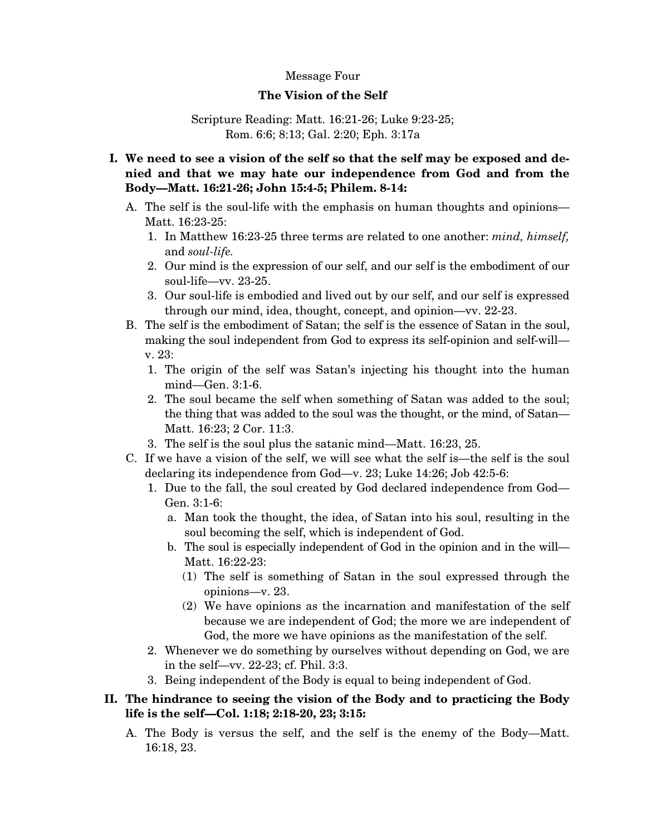#### Message Four

#### **The Vision of the Self**

#### Scripture Reading: Matt. 16:21-26; Luke 9:23-25; Rom. 6:6; 8:13; Gal. 2:20; Eph. 3:17a

- **I. We need to see a vision of the self so that the self may be exposed and denied and that we may hate our independence from God and from the Body—Matt. 16:21-26; John 15:4-5; Philem. 8-14:** 
	- A. The self is the soul-life with the emphasis on human thoughts and opinions— Matt. 16:23-25:
		- 1. In Matthew 16:23-25 three terms are related to one another: *mind, himself,* and *soul-life.*
		- 2. Our mind is the expression of our self, and our self is the embodiment of our soul-life—vv. 23-25.
		- 3. Our soul-life is embodied and lived out by our self, and our self is expressed through our mind, idea, thought, concept, and opinion—vv. 22-23.
	- B. The self is the embodiment of Satan; the self is the essence of Satan in the soul, making the soul independent from God to express its self-opinion and self-will v. 23:
		- 1. The origin of the self was Satan's injecting his thought into the human mind—Gen. 3:1-6.
		- 2. The soul became the self when something of Satan was added to the soul; the thing that was added to the soul was the thought, or the mind, of Satan— Matt. 16:23; 2 Cor. 11:3.
		- 3. The self is the soul plus the satanic mind—Matt. 16:23, 25.
	- C. If we have a vision of the self, we will see what the self is—the self is the soul declaring its independence from God—v. 23; Luke 14:26; Job 42:5-6:
		- 1. Due to the fall, the soul created by God declared independence from God— Gen. 3:1-6:
			- a. Man took the thought, the idea, of Satan into his soul, resulting in the soul becoming the self, which is independent of God.
			- b. The soul is especially independent of God in the opinion and in the will— Matt. 16:22-23:
				- (1) The self is something of Satan in the soul expressed through the opinions—v. 23.
				- (2) We have opinions as the incarnation and manifestation of the self because we are independent of God; the more we are independent of God, the more we have opinions as the manifestation of the self.
		- 2. Whenever we do something by ourselves without depending on God, we are in the self—vv. 22-23; cf. Phil. 3:3.
		- 3. Being independent of the Body is equal to being independent of God.

# **II. The hindrance to seeing the vision of the Body and to practicing the Body life is the self—Col. 1:18; 2:18-20, 23; 3:15:**

A. The Body is versus the self, and the self is the enemy of the Body—Matt. 16:18, 23.